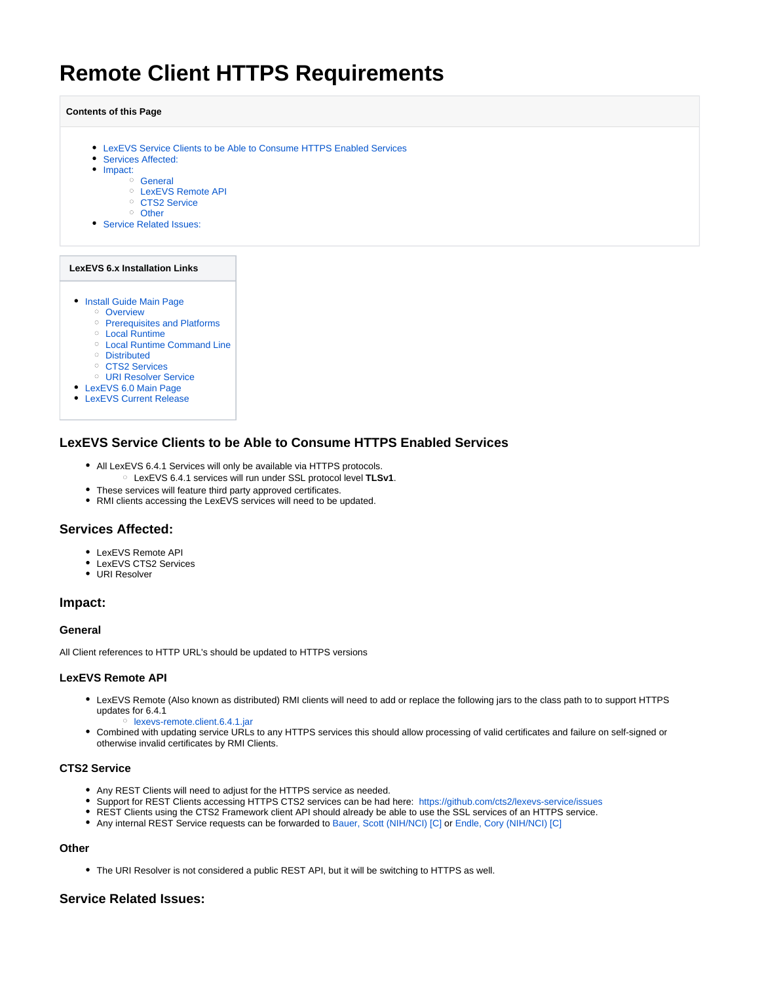# **Remote Client HTTPS Requirements**

#### **Contents of this Page**

- [LexEVS Service Clients to be Able to Consume HTTPS Enabled Services](#page-0-0)
- [Services Affected:](#page-0-1)
- [Impact:](#page-0-2)
	- <sup>o</sup> [General](#page-0-3)
		- [LexEVS Remote API](#page-0-4)
		- o [CTS2 Service](#page-0-5)
		- <sup>o</sup> [Other](#page-0-6)
- [Service Related Issues:](#page-0-7)

#### **LexEVS 6.x Installation Links**

- **[Install Guide Main Page](https://wiki.nci.nih.gov/display/LexEVS/LexEVS+6.x+Installation+Guide)** 
	- <sup>o</sup> [Overview](https://wiki.nci.nih.gov/display/LexEVS/1+-+LexEVS+6.x+Installation+Overview)
	- o [Prerequisites and Platforms](https://wiki.nci.nih.gov/display/LexEVS/2+-+LexEVS+6.x+Prerequisite+Software+and+Supported+Platforms)
	- [Local Runtime](https://wiki.nci.nih.gov/display/LexEVS/3+-+Installing+LexEVS+6.x+Local+Runtime)
	- [Local Runtime Command Line](https://wiki.nci.nih.gov/pages/viewpage.action?pageId=62427333)
	- [Distributed](https://wiki.nci.nih.gov/display/LexEVS/5+-+Installing+LexEVS+6.x+Distributed)
	- <sup>o</sup> [CTS2 Services](https://wiki.nci.nih.gov/display/LexEVS/6+-+Installing+LexEVS+6.x+CTS2+Services)
	- [URI Resolver Service](https://wiki.nci.nih.gov/display/LexEVS/7+-+Installing+LexEVS+6.x+URI+Resolver+Service)
- [LexEVS 6.0 Main Page](https://wiki.nci.nih.gov/display/LexEVS/LexEVS+6.0)
- [LexEVS Current Release](https://wiki.nci.nih.gov/display/LexEVS/LexEVS)

# <span id="page-0-0"></span>**LexEVS Service Clients to be Able to Consume HTTPS Enabled Services**

- All LexEVS 6.4.1 Services will only be available via HTTPS protocols.
	- LexEVS 6.4.1 services will run under SSL protocol level **TLSv1**.
- These services will feature third party approved certificates.
- RMI clients accessing the LexEVS services will need to be updated.

## <span id="page-0-1"></span>**Services Affected:**

- **LexEVS Remote API**
- LexEVS CTS2 Services
- URI Resolver

## <span id="page-0-2"></span>**Impact:**

#### <span id="page-0-3"></span>**General**

All Client references to HTTP URL's should be updated to HTTPS versions

### <span id="page-0-4"></span>**LexEVS Remote API**

- LexEVS Remote (Also known as distributed) RMI clients will need to add or replace the following jars to the class path to to support HTTPS updates for 6.4.1 o [lexevs-remote.client.6.4.1.jar](http://informatics.mayo.edu/maven/content/repositories/releases//lexevs/lexevs-remote-client/6.4/lexevs-remote-client-6.4.jar)
- Combined with updating service URLs to any HTTPS services this should allow processing of valid certificates and failure on self-signed or otherwise invalid certificates by RMI Clients.

## <span id="page-0-5"></span>**CTS2 Service**

- Any REST Clients will need to adjust for the HTTPS service as needed.
- Support for REST Clients accessing HTTPS CTS2 services can be had here: <https://github.com/cts2/lexevs-service/issues>
- REST Clients using the CTS2 Framework client API should already be able to use the SSL services of an HTTPS service.
- Any internal REST Service requests can be forwarded to [Bauer, Scott \(NIH/NCI\) \[C\]](https://wiki.nci.nih.gov/display/~bauerhs) or [Endle, Cory \(NIH/NCI\) \[C\]](https://wiki.nci.nih.gov/display/~endlecm)

# <span id="page-0-6"></span>**Other**

The URI Resolver is not considered a public REST API, but it will be switching to HTTPS as well.

# <span id="page-0-7"></span>**Service Related Issues:**